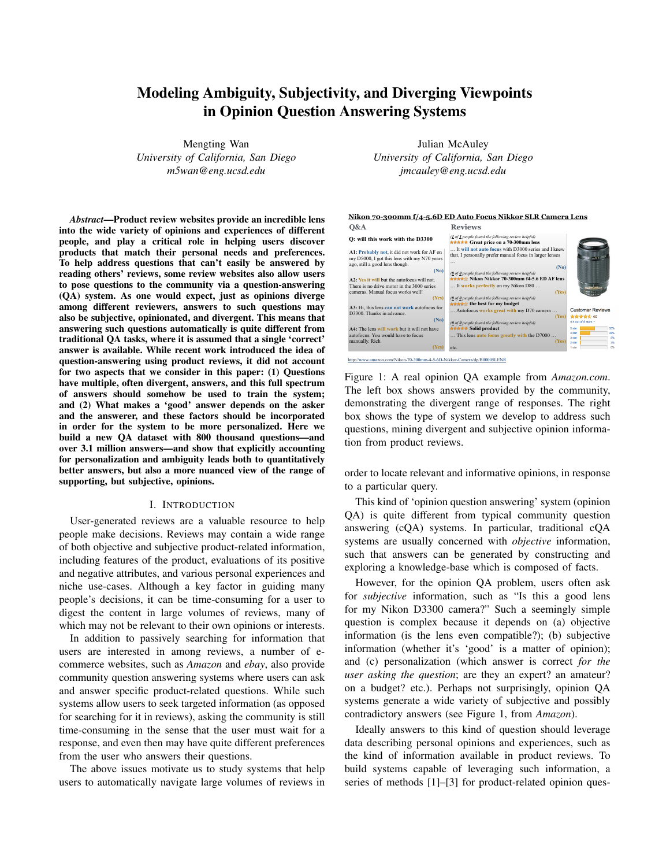# Modeling Ambiguity, Subjectivity, and Diverging Viewpoints in Opinion Question Answering Systems

Mengting Wan *University of California, San Diego m5wan@eng.ucsd.edu*

*Abstract*—Product review websites provide an incredible lens into the wide variety of opinions and experiences of different people, and play a critical role in helping users discover products that match their personal needs and preferences. To help address questions that can't easily be answered by reading others' reviews, some review websites also allow users to pose questions to the community via a question-answering (QA) system. As one would expect, just as opinions diverge among different reviewers, answers to such questions may also be subjective, opinionated, and divergent. This means that answering such questions automatically is quite different from traditional QA tasks, where it is assumed that a single 'correct' answer is available. While recent work introduced the idea of question-answering using product reviews, it did not account for two aspects that we consider in this paper: (1) Questions have multiple, often divergent, answers, and this full spectrum of answers should somehow be used to train the system; and (2) What makes a 'good' answer depends on the asker and the answerer, and these factors should be incorporated in order for the system to be more personalized. Here we build a new QA dataset with 800 thousand questions—and over 3.1 million answers—and show that explicitly accounting for personalization and ambiguity leads both to quantitatively better answers, but also a more nuanced view of the range of supporting, but subjective, opinions.

### I. INTRODUCTION

User-generated reviews are a valuable resource to help people make decisions. Reviews may contain a wide range of both objective and subjective product-related information, including features of the product, evaluations of its positive and negative attributes, and various personal experiences and niche use-cases. Although a key factor in guiding many people's decisions, it can be time-consuming for a user to digest the content in large volumes of reviews, many of which may not be relevant to their own opinions or interests.

In addition to passively searching for information that users are interested in among reviews, a number of ecommerce websites, such as *Amazon* and *ebay*, also provide community question answering systems where users can ask and answer specific product-related questions. While such systems allow users to seek targeted information (as opposed for searching for it in reviews), asking the community is still time-consuming in the sense that the user must wait for a response, and even then may have quite different preferences from the user who answers their questions.

The above issues motivate us to study systems that help users to automatically navigate large volumes of reviews in

Julian McAuley *University of California, San Diego jmcauley@eng.ucsd.edu*





Figure 1: A real opinion QA example from *Amazon.com*. The left box shows answers provided by the community, demonstrating the divergent range of responses. The right box shows the type of system we develop to address such questions, mining divergent and subjective opinion information from product reviews.

order to locate relevant and informative opinions, in response to a particular query.

This kind of 'opinion question answering' system (opinion QA) is quite different from typical community question answering (cQA) systems. In particular, traditional cQA systems are usually concerned with *objective* information, such that answers can be generated by constructing and exploring a knowledge-base which is composed of facts.

However, for the opinion QA problem, users often ask for *subjective* information, such as "Is this a good lens for my Nikon D3300 camera?" Such a seemingly simple question is complex because it depends on (a) objective information (is the lens even compatible?); (b) subjective information (whether it's 'good' is a matter of opinion); and (c) personalization (which answer is correct *for the user asking the question*; are they an expert? an amateur? on a budget? etc.). Perhaps not surprisingly, opinion QA systems generate a wide variety of subjective and possibly contradictory answers (see Figure 1, from *Amazon*).

Ideally answers to this kind of question should leverage data describing personal opinions and experiences, such as the kind of information available in product reviews. To build systems capable of leveraging such information, a series of methods [1]–[3] for product-related opinion ques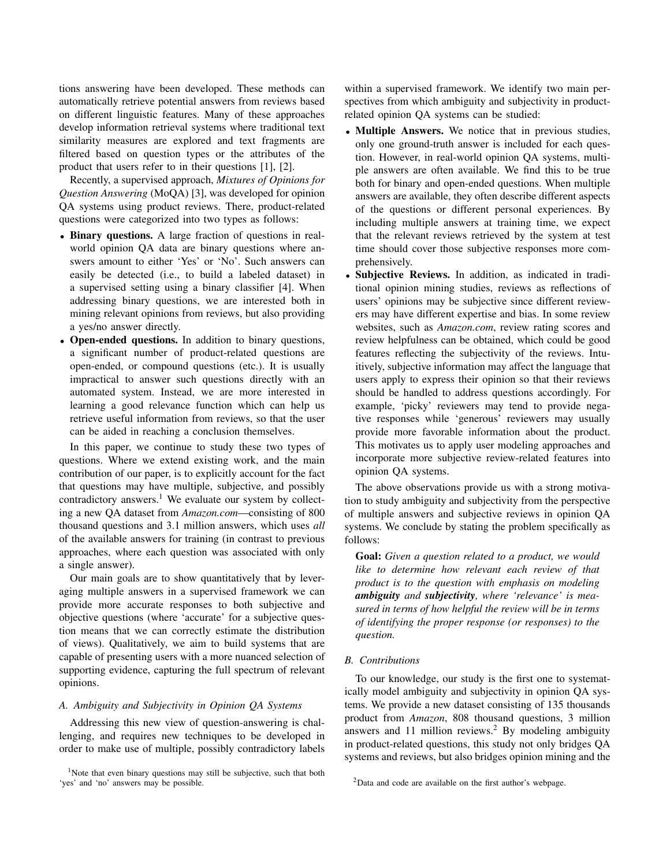tions answering have been developed. These methods can automatically retrieve potential answers from reviews based on different linguistic features. Many of these approaches develop information retrieval systems where traditional text similarity measures are explored and text fragments are filtered based on question types or the attributes of the product that users refer to in their questions [1], [2].

Recently, a supervised approach, *Mixtures of Opinions for Question Answering* (MoQA) [3], was developed for opinion QA systems using product reviews. There, product-related questions were categorized into two types as follows:

- Binary questions. A large fraction of questions in realworld opinion QA data are binary questions where answers amount to either 'Yes' or 'No'. Such answers can easily be detected (i.e., to build a labeled dataset) in a supervised setting using a binary classifier [4]. When addressing binary questions, we are interested both in mining relevant opinions from reviews, but also providing a yes/no answer directly.
- Open-ended questions. In addition to binary questions, a significant number of product-related questions are open-ended, or compound questions (etc.). It is usually impractical to answer such questions directly with an automated system. Instead, we are more interested in learning a good relevance function which can help us retrieve useful information from reviews, so that the user can be aided in reaching a conclusion themselves.

In this paper, we continue to study these two types of questions. Where we extend existing work, and the main contribution of our paper, is to explicitly account for the fact that questions may have multiple, subjective, and possibly contradictory answers.<sup>1</sup> We evaluate our system by collecting a new QA dataset from *Amazon.com*—consisting of 800 thousand questions and 3.1 million answers, which uses *all* of the available answers for training (in contrast to previous approaches, where each question was associated with only a single answer).

Our main goals are to show quantitatively that by leveraging multiple answers in a supervised framework we can provide more accurate responses to both subjective and objective questions (where 'accurate' for a subjective question means that we can correctly estimate the distribution of views). Qualitatively, we aim to build systems that are capable of presenting users with a more nuanced selection of supporting evidence, capturing the full spectrum of relevant opinions.

# *A. Ambiguity and Subjectivity in Opinion QA Systems*

Addressing this new view of question-answering is challenging, and requires new techniques to be developed in order to make use of multiple, possibly contradictory labels within a supervised framework. We identify two main perspectives from which ambiguity and subjectivity in productrelated opinion QA systems can be studied:

- Multiple Answers. We notice that in previous studies, only one ground-truth answer is included for each question. However, in real-world opinion QA systems, multiple answers are often available. We find this to be true both for binary and open-ended questions. When multiple answers are available, they often describe different aspects of the questions or different personal experiences. By including multiple answers at training time, we expect that the relevant reviews retrieved by the system at test time should cover those subjective responses more comprehensively.
- Subjective Reviews. In addition, as indicated in traditional opinion mining studies, reviews as reflections of users' opinions may be subjective since different reviewers may have different expertise and bias. In some review websites, such as *Amazon.com*, review rating scores and review helpfulness can be obtained, which could be good features reflecting the subjectivity of the reviews. Intuitively, subjective information may affect the language that users apply to express their opinion so that their reviews should be handled to address questions accordingly. For example, 'picky' reviewers may tend to provide negative responses while 'generous' reviewers may usually provide more favorable information about the product. This motivates us to apply user modeling approaches and incorporate more subjective review-related features into opinion QA systems.

The above observations provide us with a strong motivation to study ambiguity and subjectivity from the perspective of multiple answers and subjective reviews in opinion QA systems. We conclude by stating the problem specifically as follows:

Goal: *Given a question related to a product, we would like to determine how relevant each review of that product is to the question with emphasis on modeling ambiguity and subjectivity, where 'relevance' is measured in terms of how helpful the review will be in terms of identifying the proper response (or responses) to the question.*

# *B. Contributions*

To our knowledge, our study is the first one to systematically model ambiguity and subjectivity in opinion QA systems. We provide a new dataset consisting of 135 thousands product from *Amazon*, 808 thousand questions, 3 million answers and 11 million reviews.<sup>2</sup> By modeling ambiguity in product-related questions, this study not only bridges QA systems and reviews, but also bridges opinion mining and the

<sup>&</sup>lt;sup>1</sup>Note that even binary questions may still be subjective, such that both 'yes' and 'no' answers may be possible.

<sup>2</sup>Data and code are available on the first author's webpage.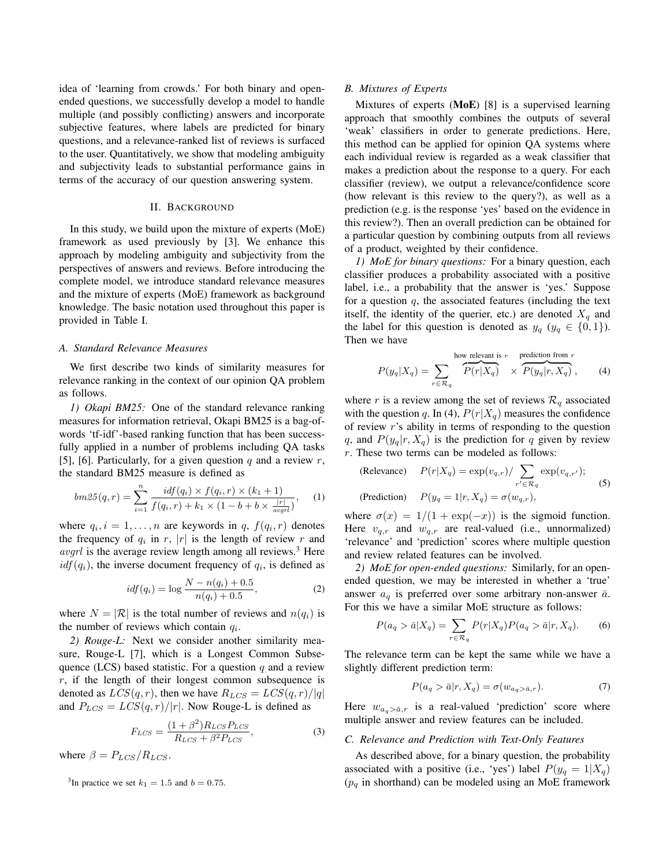idea of 'learning from crowds.' For both binary and openended questions, we successfully develop a model to handle multiple (and possibly conflicting) answers and incorporate subjective features, where labels are predicted for binary questions, and a relevance-ranked list of reviews is surfaced to the user. Quantitatively, we show that modeling ambiguity and subjectivity leads to substantial performance gains in terms of the accuracy of our question answering system.

### II. BACKGROUND

In this study, we build upon the mixture of experts (MoE) framework as used previously by [3]. We enhance this approach by modeling ambiguity and subjectivity from the perspectives of answers and reviews. Before introducing the complete model, we introduce standard relevance measures and the mixture of experts (MoE) framework as background knowledge. The basic notation used throughout this paper is provided in Table I.

# *A. Standard Relevance Measures*

We first describe two kinds of similarity measures for relevance ranking in the context of our opinion QA problem as follows.

*1) Okapi BM25:* One of the standard relevance ranking measures for information retrieval, Okapi BM25 is a bag-ofwords 'tf-idf'-based ranking function that has been successfully applied in a number of problems including QA tasks [5], [6]. Particularly, for a given question  $q$  and a review  $r$ , the standard BM25 measure is defined as

$$
bm25(q,r) = \sum_{i=1}^{n} \frac{idf(q_i) \times f(q_i,r) \times (k_1+1)}{f(q_i,r) + k_1 \times (1-b+b \times \frac{|r|}{avgrt})},
$$
 (1)

where  $q_i$ ,  $i = 1, \ldots, n$  are keywords in q,  $f(q_i, r)$  denotes the frequency of  $q_i$  in  $r$ ,  $|r|$  is the length of review  $r$  and *avgrl* is the average review length among all reviews.<sup>3</sup> Here  $idf(q_i)$ , the inverse document frequency of  $q_i$ , is defined as

$$
idf(q_i) = \log \frac{N - n(q_i) + 0.5}{n(q_i) + 0.5},
$$
\n(2)

where  $N = |\mathcal{R}|$  is the total number of reviews and  $n(q_i)$  is the number of reviews which contain  $q_i$ .

*2) Rouge-L:* Next we consider another similarity measure, Rouge-L [7], which is a Longest Common Subsequence (LCS) based statistic. For a question  $q$  and a review  $r$ , if the length of their longest common subsequence is denoted as  $LCS(q, r)$ , then we have  $R_{LCS} = LCS(q, r)/|q|$ and  $P_{LCS} = LCS(q, r)/|r|$ . Now Rouge-L is defined as

$$
F_{LCS} = \frac{(1+\beta^2)R_{LCS}P_{LCS}}{R_{LCS} + \beta^2 P_{LCS}},
$$
\n(3)

where  $\beta = P_{LCS}/R_{LCS}$ .

<sup>3</sup>In practice we set  $k_1 = 1.5$  and  $b = 0.75$ .

#### *B. Mixtures of Experts*

Mixtures of experts (MoE) [8] is a supervised learning approach that smoothly combines the outputs of several 'weak' classifiers in order to generate predictions. Here, this method can be applied for opinion QA systems where each individual review is regarded as a weak classifier that makes a prediction about the response to a query. For each classifier (review), we output a relevance/confidence score (how relevant is this review to the query?), as well as a prediction (e.g. is the response 'yes' based on the evidence in this review?). Then an overall prediction can be obtained for a particular question by combining outputs from all reviews of a product, weighted by their confidence.

*1) MoE for binary questions:* For a binary question, each classifier produces a probability associated with a positive label, i.e., a probability that the answer is 'yes.' Suppose for a question  $q$ , the associated features (including the text itself, the identity of the querier, etc.) are denoted  $X_q$  and the label for this question is denoted as  $y_q$  ( $y_q \in \{0, 1\}$ ). Then we have

$$
P(y_q|X_q) = \sum_{r \in \mathcal{R}_q} \overbrace{P(r|X_q)}^{\text{how relevant is } r} \times \overbrace{P(y_q|r, X_q)}^{\text{prediction from } r}, \tag{4}
$$

where r is a review among the set of reviews  $\mathcal{R}_q$  associated with the question q. In (4),  $P(r|X_q)$  measures the confidence of review r's ability in terms of responding to the question q, and  $P(y_q|r, X_q)$  is the prediction for q given by review r. These two terms can be modeled as follows:

(Relevance) 
$$
P(r|X_q) = \exp(v_{q,r}) / \sum_{r' \in \mathcal{R}_q} \exp(v_{q,r'});
$$
 (5)  
(Prediction)  $P(y_q = 1|r, X_q) = \sigma(w_{q,r}),$ 

where  $\sigma(x) = 1/(1 + \exp(-x))$  is the sigmoid function. Here  $v_{q,r}$  and  $w_{q,r}$  are real-valued (i.e., unnormalized) 'relevance' and 'prediction' scores where multiple question and review related features can be involved.

*2) MoE for open-ended questions:* Similarly, for an openended question, we may be interested in whether a 'true' answer  $a_q$  is preferred over some arbitrary non-answer  $\bar{a}$ . For this we have a similar MoE structure as follows:

$$
P(a_q > \bar{a}|X_q) = \sum_{r \in \mathcal{R}_q} P(r|X_q) P(a_q > \bar{a}|r, X_q). \tag{6}
$$

The relevance term can be kept the same while we have a slightly different prediction term:

$$
P(a_q > \bar{a}|r, X_q) = \sigma(w_{a_q > \bar{a},r}).
$$
\n<sup>(7)</sup>

Here  $w_{a_q>\bar{a},r}$  is a real-valued 'prediction' score where multiple answer and review features can be included.

# *C. Relevance and Prediction with Text-Only Features*

As described above, for a binary question, the probability associated with a positive (i.e., 'yes') label  $P(y_q = 1|X_q)$  $(p_q$  in shorthand) can be modeled using an MoE framework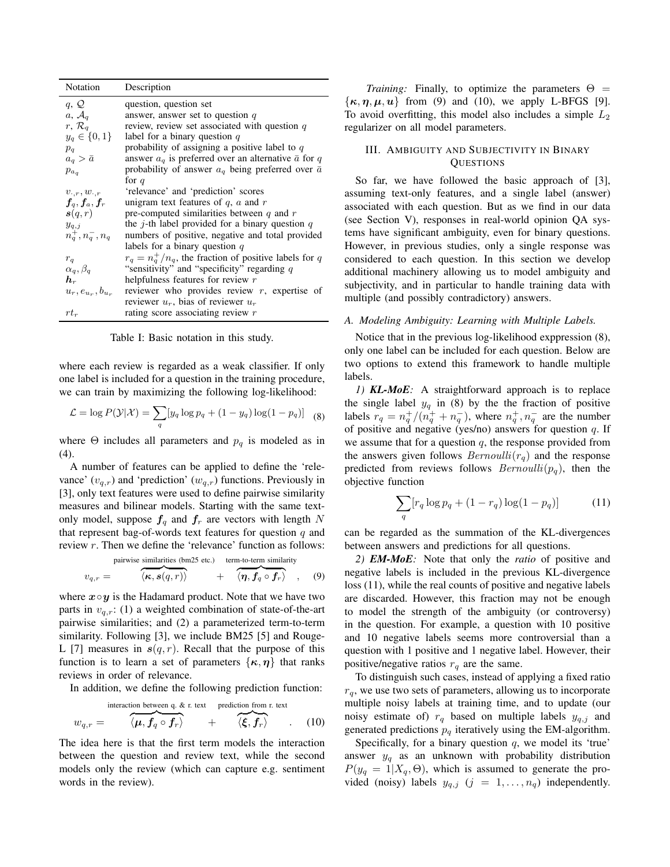| Notation                                               | Description                                                   |
|--------------------------------------------------------|---------------------------------------------------------------|
| q, Q                                                   | question, question set                                        |
| $a, \mathcal{A}_q$                                     | answer, answer set to question $q$                            |
| $r, \mathcal{R}_a$                                     | review, review set associated with question $q$               |
| $y_q \in \{0, 1\}$                                     | label for a binary question $q$                               |
| $p_q$                                                  | probability of assigning a positive label to $q$              |
| $a_q > \bar{a}$                                        | answer $a_q$ is preferred over an alternative $\bar{a}$ for q |
| $p_{a_q}$                                              | probability of answer $a_{q}$ being preferred over $\bar{a}$  |
|                                                        | for $q$                                                       |
| $v_{\cdot,r}, w_{\cdot,r}$                             | 'relevance' and 'prediction' scores                           |
| $\boldsymbol{f_q}, \boldsymbol{f_a}, \boldsymbol{f_r}$ | unigram text features of $q$ , $a$ and $r$                    |
| s(q,r)                                                 | pre-computed similarities between q and $r$                   |
| $y_{q,j}$                                              | the <i>j</i> -th label provided for a binary question $q$     |
| $n_q^+, n_q^-, n_q$                                    | numbers of positive, negative and total provided              |
|                                                        | labels for a binary question $q$                              |
| $r_a$                                                  | $r_q = n_q^+/n_q$ , the fraction of positive labels for q     |
| $\alpha_q, \beta_q$                                    | "sensitivity" and "specificity" regarding $q$                 |
| $\bm{h}_r$                                             | helpfulness features for review $r$                           |
| $u_r, e_{u_r}, b_{u_r}$                                | reviewer who provides review $r$ , expertise of               |
|                                                        | reviewer $u_r$ , bias of reviewer $u_r$                       |
| $rt_r$                                                 | rating score associating review $r$                           |

Table I: Basic notation in this study.

where each review is regarded as a weak classifier. If only one label is included for a question in the training procedure, we can train by maximizing the following log-likelihood:

$$
\mathcal{L} = \log P(\mathcal{Y}|\mathcal{X}) = \sum_{q} [y_q \log p_q + (1 - y_q) \log(1 - p_q)] \quad (8)
$$

where  $\Theta$  includes all parameters and  $p_q$  is modeled as in (4).

A number of features can be applied to define the 'relevance'  $(v_{q,r})$  and 'prediction'  $(w_{q,r})$  functions. Previously in [3], only text features were used to define pairwise similarity measures and bilinear models. Starting with the same textonly model, suppose  $f_q$  and  $f_r$  are vectors with length N that represent bag-of-words text features for question  $q$  and review r. Then we define the 'relevance' function as follows:

pairwise similarities (bm25 etc.) term-to-term similarity  

$$
v_{q,r} = \overbrace{\langle \kappa, s(q,r) \rangle}^{\text{pairwise similarities (bm25 etc.)} + \overbrace{\langle \eta, f_q \circ f_r \rangle}^{\text{term-to-term similarity}}, \qquad (9)
$$

where  $x \circ y$  is the Hadamard product. Note that we have two parts in  $v_{q,r}$ : (1) a weighted combination of state-of-the-art pairwise similarities; and (2) a parameterized term-to-term similarity. Following [3], we include BM25 [5] and Rouge-L [7] measures in  $s(q, r)$ . Recall that the purpose of this function is to learn a set of parameters  $\{\kappa, \eta\}$  that ranks reviews in order of relevance.

In addition, we define the following prediction function:

interaction between q. & r. text prediction from r. text  
\n
$$
w_{q,r} = \overbrace{\langle \mu, f_q \circ f_r \rangle}^{\text{interaction between q. & r. text}} + \overbrace{\langle \xi, f_r \rangle}^{\text{prediction from r. text}}.
$$
 (10)

The idea here is that the first term models the interaction between the question and review text, while the second models only the review (which can capture e.g. sentiment words in the review).

*Training:* Finally, to optimize the parameters  $\Theta$  =  $\{\kappa, \eta, \mu, u\}$  from (9) and (10), we apply L-BFGS [9]. To avoid overfitting, this model also includes a simple  $L_2$ regularizer on all model parameters.

# III. AMBIGUITY AND SUBJECTIVITY IN BINARY **QUESTIONS**

So far, we have followed the basic approach of [3], assuming text-only features, and a single label (answer) associated with each question. But as we find in our data (see Section V), responses in real-world opinion QA systems have significant ambiguity, even for binary questions. However, in previous studies, only a single response was considered to each question. In this section we develop additional machinery allowing us to model ambiguity and subjectivity, and in particular to handle training data with multiple (and possibly contradictory) answers.

### *A. Modeling Ambiguity: Learning with Multiple Labels.*

Notice that in the previous log-likelihood exppression (8), only one label can be included for each question. Below are two options to extend this framework to handle multiple labels.

*1) KL-MoE:* A straightforward approach is to replace the single label  $y_q$  in (8) by the the fraction of positive labels  $r_q = n_q^+/(n_q^+ + n_q^-)$ , where  $n_q^+, n_q^-$  are the number of positive and negative (yes/no) answers for question  $q$ . If we assume that for a question  $q$ , the response provided from the answers given follows  $Bernoulli(r_q)$  and the response predicted from reviews follows  $Bernoulli(p_q)$ , then the objective function

$$
\sum_{q} [r_q \log p_q + (1 - r_q) \log (1 - p_q)] \tag{11}
$$

can be regarded as the summation of the KL-divergences between answers and predictions for all questions.

*2) EM-MoE:* Note that only the *ratio* of positive and negative labels is included in the previous KL-divergence loss (11), while the real counts of positive and negative labels are discarded. However, this fraction may not be enough to model the strength of the ambiguity (or controversy) in the question. For example, a question with 10 positive and 10 negative labels seems more controversial than a question with 1 positive and 1 negative label. However, their positive/negative ratios  $r_q$  are the same.

To distinguish such cases, instead of applying a fixed ratio  $r_q$ , we use two sets of parameters, allowing us to incorporate multiple noisy labels at training time, and to update (our noisy estimate of)  $r_q$  based on multiple labels  $y_{q,j}$  and generated predictions  $p_q$  iteratively using the EM-algorithm.

Specifically, for a binary question  $q$ , we model its 'true' answer  $y_q$  as an unknown with probability distribution  $P(y_q = 1|X_q, \Theta)$ , which is assumed to generate the provided (noisy) labels  $y_{q,j}$  ( $j = 1, \ldots, n_q$ ) independently.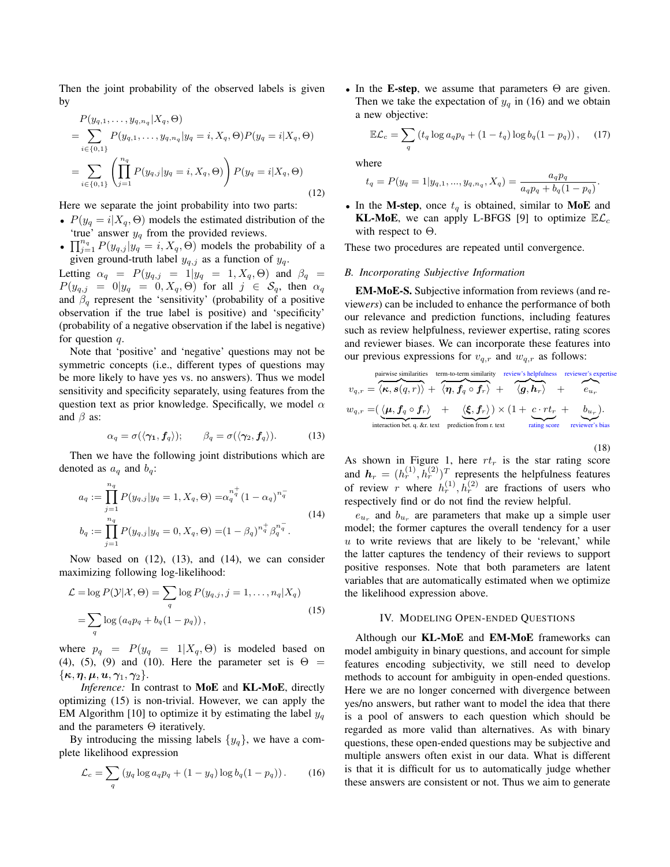Then the joint probability of the observed labels is given by

$$
P(y_{q,1},...,y_{q,n_q}|X_q, \Theta)
$$
  
=  $\sum_{i \in \{0,1\}} P(y_{q,1},...,y_{q,n_q}|y_q = i, X_q, \Theta) P(y_q = i|X_q, \Theta)$   
=  $\sum_{i \in \{0,1\}} \left( \prod_{j=1}^{n_q} P(y_{q,j}|y_q = i, X_q, \Theta) \right) P(y_q = i|X_q, \Theta)$  (12)

Here we separate the joint probability into two parts:

- $P(y_q = i | X_q, \Theta)$  models the estimated distribution of the 'true' answer  $y_q$  from the provided reviews.
- $\prod_{j=1}^{n_q} P(y_{q,j} | y_q = i, X_q, \Theta)$  models the probability of a given ground-truth label  $y_{q,j}$  as a function of  $y_q$ .

Letting  $\alpha_q = P(y_{q,j} = 1|y_q = 1, X_q, \Theta)$  and  $\beta_q =$  $P(y_{q,j} = 0 | y_q = 0, X_q, \Theta)$  for all  $j \in S_q$ , then  $\alpha_q$ and  $\beta_q$  represent the 'sensitivity' (probability of a positive observation if the true label is positive) and 'specificity' (probability of a negative observation if the label is negative) for question  $q$ .

Note that 'positive' and 'negative' questions may not be symmetric concepts (i.e., different types of questions may be more likely to have yes vs. no answers). Thus we model sensitivity and specificity separately, using features from the question text as prior knowledge. Specifically, we model  $\alpha$ and  $\beta$  as:

$$
\alpha_q = \sigma(\langle \gamma_1, f_q \rangle); \qquad \beta_q = \sigma(\langle \gamma_2, f_q \rangle). \tag{13}
$$

Then we have the following joint distributions which are denoted as  $a_q$  and  $b_q$ :

$$
a_q := \prod_{j=1}^{n_q} P(y_{q,j} | y_q = 1, X_q, \Theta) = \alpha_q^{n_q^+} (1 - \alpha_q)^{n_q^-}
$$
  
\n
$$
b_q := \prod_{j=1}^{n_q} P(y_{q,j} | y_q = 0, X_q, \Theta) = (1 - \beta_q)^{n_q^+} \beta_q^{n_q^-}.
$$
\n
$$
(14)
$$

Now based on (12), (13), and (14), we can consider maximizing following log-likelihood:

$$
\mathcal{L} = \log P(\mathcal{Y}|\mathcal{X}, \Theta) = \sum_{q} \log P(y_{q,j}, j = 1, \dots, n_q | X_q)
$$

$$
= \sum_{q} \log (a_q p_q + b_q (1 - p_q)),
$$
(15)

where  $p_q = P(y_q = 1 | X_q, \Theta)$  is modeled based on (4), (5), (9) and (10). Here the parameter set is  $\Theta =$  $\{\boldsymbol{\kappa}, \boldsymbol{\eta}, \boldsymbol{\mu}, \boldsymbol{u}, \boldsymbol{\gamma}_1, \boldsymbol{\gamma}_2\}.$ 

*Inference:* In contrast to MoE and KL-MoE, directly optimizing (15) is non-trivial. However, we can apply the EM Algorithm [10] to optimize it by estimating the label  $y_q$ and the parameters Θ iteratively.

By introducing the missing labels  $\{y_q\}$ , we have a complete likelihood expression

$$
\mathcal{L}_c = \sum_q (y_q \log a_q p_q + (1 - y_q) \log b_q (1 - p_q)). \tag{16}
$$

• In the E-step, we assume that parameters  $\Theta$  are given. Then we take the expectation of  $y_q$  in (16) and we obtain a new objective:

$$
\mathbb{E}\mathcal{L}_c = \sum_q \left( t_q \log a_q p_q + (1 - t_q) \log b_q (1 - p_q) \right), \quad (17)
$$

where

$$
t_q = P(y_q = 1 | y_{q,1}, ..., y_{q,n_q}, X_q) = \frac{a_q p_q}{a_q p_q + b_q (1 - p_q)}.
$$

• In the M-step, once  $t_q$  is obtained, similar to MoE and **KL-MoE**, we can apply L-BFGS [9] to optimize  $\mathbb{E}\mathcal{L}_c$ with respect to  $\Theta$ .

These two procedures are repeated until convergence.

# *B. Incorporating Subjective Information*

EM-MoE-S. Subjective information from reviews (and review*ers*) can be included to enhance the performance of both our relevance and prediction functions, including features such as review helpfulness, reviewer expertise, rating scores and reviewer biases. We can incorporate these features into our previous expressions for  $v_{q,r}$  and  $w_{q,r}$  as follows:

$$
v_{q,r} = \overline{\langle \kappa, s(q,r) \rangle} + \overline{\langle \eta, f_q \circ f_r \rangle} + \overline{\langle g, h_r \rangle} + \overline{e_{u_r}}
$$
  
\n
$$
w_{q,r} = \overline{\langle \kappa, s(q,r) \rangle} + \overline{\langle \eta, f_q \circ f_r \rangle} + \overline{\langle g, h_r \rangle} + \overline{e_{u_r}}
$$
  
\n
$$
w_{q,r} = \overline{\langle \mu, f_q \circ f_r \rangle} + \overline{\langle \xi, f_r \rangle} \times (1 + c \cdot rt_r + b_{u_r}).
$$
  
\ninteraction bet. q. & text prediction from r. text  
\n
$$
r_{\text{rating score}}
$$
 
$$
r_{\text{e}} = \overline{\langle \mu, f_q \circ f_r \rangle}
$$

As shown in Figure 1, here  $rt_r$  is the star rating score and  $h_r = (h_r^{(1)}, h_r^{(2)})^T$  represents the helpfulness features of review r where  $h_r^{(1)}, h_r^{(2)}$  are fractions of users who respectively find or do not find the review helpful.

(18)

 $e_{u_r}$  and  $b_{u_r}$  are parameters that make up a simple user model; the former captures the overall tendency for a user  $u$  to write reviews that are likely to be 'relevant,' while the latter captures the tendency of their reviews to support positive responses. Note that both parameters are latent variables that are automatically estimated when we optimize the likelihood expression above.

#### IV. MODELING OPEN-ENDED QUESTIONS

Although our KL-MoE and EM-MoE frameworks can model ambiguity in binary questions, and account for simple features encoding subjectivity, we still need to develop methods to account for ambiguity in open-ended questions. Here we are no longer concerned with divergence between yes/no answers, but rather want to model the idea that there is a pool of answers to each question which should be regarded as more valid than alternatives. As with binary questions, these open-ended questions may be subjective and multiple answers often exist in our data. What is different is that it is difficult for us to automatically judge whether these answers are consistent or not. Thus we aim to generate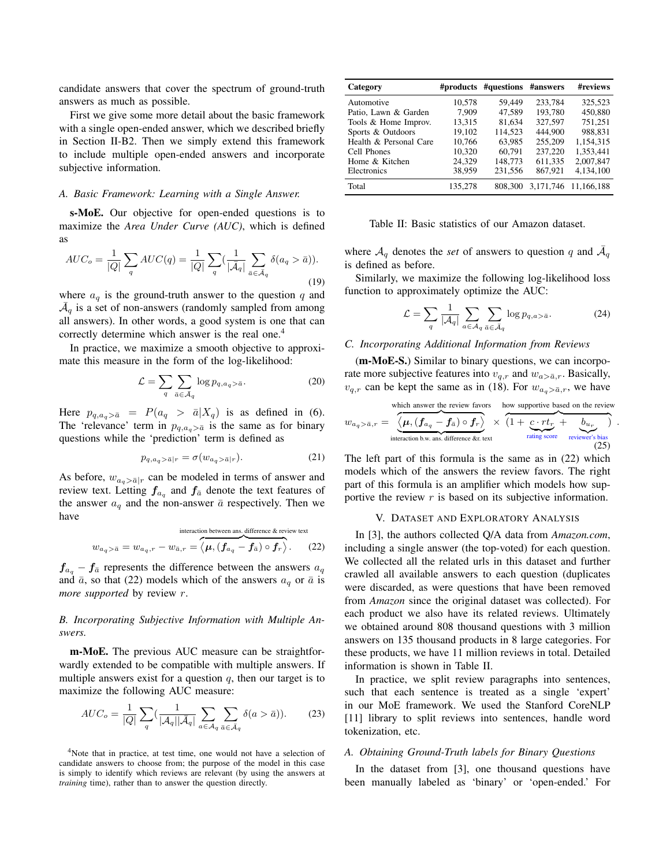candidate answers that cover the spectrum of ground-truth answers as much as possible.

First we give some more detail about the basic framework with a single open-ended answer, which we described briefly in Section II-B2. Then we simply extend this framework to include multiple open-ended answers and incorporate subjective information.

# *A. Basic Framework: Learning with a Single Answer.*

s-MoE. Our objective for open-ended questions is to maximize the *Area Under Curve (AUC)*, which is defined as

$$
AUC_o = \frac{1}{|Q|} \sum_{q} AUC(q) = \frac{1}{|Q|} \sum_{q} \left(\frac{1}{|\bar{A}_q|} \sum_{\bar{a} \in \bar{A}_q} \delta(a_q > \bar{a}\right)).\tag{19}
$$

where  $a_q$  is the ground-truth answer to the question q and  $\overline{\mathcal{A}}_q$  is a set of non-answers (randomly sampled from among all answers). In other words, a good system is one that can correctly determine which answer is the real one.<sup>4</sup>

In practice, we maximize a smooth objective to approximate this measure in the form of the log-likelihood:

$$
\mathcal{L} = \sum_{q} \sum_{\bar{a} \in \bar{\mathcal{A}}_q} \log p_{q, a_q > \bar{a}}.
$$
 (20)

Here  $p_{q,a_q>\bar{a}} = P(a_q > \bar{a}|X_q)$  is as defined in (6). The 'relevance' term in  $p_{q,a_q>\bar{a}}$  is the same as for binary questions while the 'prediction' term is defined as

$$
p_{q, a_q > \bar{a}|r} = \sigma(w_{a_q > \bar{a}|r}).\tag{21}
$$

As before,  $w_{a_q>\bar{a}|r}$  can be modeled in terms of answer and review text. Letting  $\bm{f}_{a_q}$  and  $\bm{f}_{\bar{a}}$  denote the text features of the answer  $a_q$  and the non-answer  $\bar{a}$  respectively. Then we have

interaction between ans, difference & review text  
\n
$$
w_{a_q>\bar{a}} = w_{a_q,r} - w_{\bar{a},r} = \overline{\langle \mu, (\mathbf{f}_{a_q} - \mathbf{f}_{\bar{a}}) \circ \mathbf{f}_r \rangle}.
$$
\n(22)

 $f_{a_q} - f_{\bar{a}}$  represents the difference between the answers  $a_q$ and  $\bar{a}$ , so that (22) models which of the answers  $a_q$  or  $\bar{a}$  is *more supported* by review r.

# *B. Incorporating Subjective Information with Multiple Answers.*

m-MoE. The previous AUC measure can be straightforwardly extended to be compatible with multiple answers. If multiple answers exist for a question  $q$ , then our target is to maximize the following AUC measure:

$$
AUC_o = \frac{1}{|Q|} \sum_{q} \left( \frac{1}{|\mathcal{A}_q||\mathcal{A}_q|} \sum_{a \in \mathcal{A}_q} \sum_{\bar{a} \in \bar{\mathcal{A}}_q} \delta(a > \bar{a}) \right). \tag{23}
$$

<sup>4</sup>Note that in practice, at test time, one would not have a selection of candidate answers to choose from; the purpose of the model in this case is simply to identify which reviews are relevant (by using the answers at *training* time), rather than to answer the question directly.

| Category               | #products | #questions | #answers  | #reviews   |
|------------------------|-----------|------------|-----------|------------|
| Automotive             | 10.578    | 59.449     | 233,784   | 325.523    |
| Patio, Lawn & Garden   | 7.909     | 47,589     | 193,780   | 450,880    |
| Tools & Home Improv.   | 13.315    | 81.634     | 327.597   | 751.251    |
| Sports & Outdoors      | 19.102    | 114,523    | 444,900   | 988.831    |
| Health & Personal Care | 10.766    | 63,985     | 255,209   | 1,154,315  |
| Cell Phones            | 10.320    | 60,791     | 237,220   | 1.353.441  |
| Home & Kitchen         | 24.329    | 148,773    | 611,335   | 2,007,847  |
| Electronics            | 38.959    | 231,556    | 867,921   | 4,134,100  |
| Total                  | 135,278   | 808.300    | 3.171.746 | 11.166.188 |

Table II: Basic statistics of our Amazon dataset.

where  $A_q$  denotes the *set* of answers to question q and  $\overline{A}_q$ is defined as before.

Similarly, we maximize the following log-likelihood loss function to approximately optimize the AUC:

$$
\mathcal{L} = \sum_{q} \frac{1}{|\mathcal{A}_q|} \sum_{a \in \mathcal{A}_q} \sum_{\bar{a} \in \bar{\mathcal{A}}_q} \log p_{q, a > \bar{a}}.
$$
 (24)

# *C. Incorporating Additional Information from Reviews*

(m-MoE-S.) Similar to binary questions, we can incorporate more subjective features into  $v_{q,r}$  and  $w_{q,\bar{q},r}$ . Basically,  $v_{q,r}$  can be kept the same as in (18). For  $w_{a_q>\bar{a},r}$ , we have

which answer the review favors how supporting based on the review 
$$
w_{a_q > \bar{a}, r} = \underbrace{\langle \mu, (f_{a_q} - f_{\bar{a}}) \circ f_r \rangle}_{\text{interaction b.w. ans. difference & x. text}} \times \underbrace{(1 + \underbrace{c \cdot rt_r}_{\text{rating score}} + \underbrace{b_{u_r}}_{\text{reviewer's bias}}).
$$

The left part of this formula is the same as in (22) which models which of the answers the review favors. The right part of this formula is an amplifier which models how supportive the review  $r$  is based on its subjective information.

#### V. DATASET AND EXPLORATORY ANALYSIS

In [3], the authors collected Q/A data from *Amazon.com*, including a single answer (the top-voted) for each question. We collected all the related urls in this dataset and further crawled all available answers to each question (duplicates were discarded, as were questions that have been removed from *Amazon* since the original dataset was collected). For each product we also have its related reviews. Ultimately we obtained around 808 thousand questions with 3 million answers on 135 thousand products in 8 large categories. For these products, we have 11 million reviews in total. Detailed information is shown in Table II.

In practice, we split review paragraphs into sentences, such that each sentence is treated as a single 'expert' in our MoE framework. We used the Stanford CoreNLP [11] library to split reviews into sentences, handle word tokenization, etc.

#### *A. Obtaining Ground-Truth labels for Binary Questions*

In the dataset from [3], one thousand questions have been manually labeled as 'binary' or 'open-ended.' For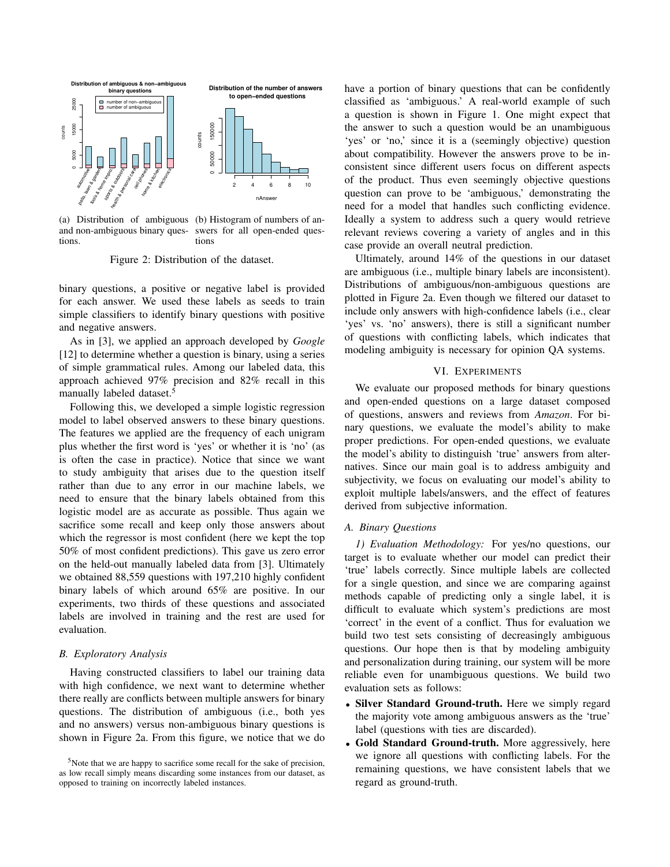

(a) Distribution of ambiguous (b) Histogram of numbers of anand non-ambiguous binary ques-swers for all open-ended questions. tions

Figure 2: Distribution of the dataset.

binary questions, a positive or negative label is provided for each answer. We used these labels as seeds to train simple classifiers to identify binary questions with positive and negative answers.

As in [3], we applied an approach developed by *Google* [12] to determine whether a question is binary, using a series of simple grammatical rules. Among our labeled data, this approach achieved 97% precision and 82% recall in this manually labeled dataset.<sup>5</sup>

Following this, we developed a simple logistic regression model to label observed answers to these binary questions. The features we applied are the frequency of each unigram plus whether the first word is 'yes' or whether it is 'no' (as is often the case in practice). Notice that since we want to study ambiguity that arises due to the question itself rather than due to any error in our machine labels, we need to ensure that the binary labels obtained from this logistic model are as accurate as possible. Thus again we sacrifice some recall and keep only those answers about which the regressor is most confident (here we kept the top 50% of most confident predictions). This gave us zero error on the held-out manually labeled data from [3]. Ultimately we obtained 88,559 questions with 197,210 highly confident binary labels of which around 65% are positive. In our experiments, two thirds of these questions and associated labels are involved in training and the rest are used for evaluation.

# *B. Exploratory Analysis*

Having constructed classifiers to label our training data with high confidence, we next want to determine whether there really are conflicts between multiple answers for binary questions. The distribution of ambiguous (i.e., both yes and no answers) versus non-ambiguous binary questions is shown in Figure 2a. From this figure, we notice that we do have a portion of binary questions that can be confidently classified as 'ambiguous.' A real-world example of such a question is shown in Figure 1. One might expect that the answer to such a question would be an unambiguous 'yes' or 'no,' since it is a (seemingly objective) question about compatibility. However the answers prove to be inconsistent since different users focus on different aspects of the product. Thus even seemingly objective questions question can prove to be 'ambiguous,' demonstrating the need for a model that handles such conflicting evidence. Ideally a system to address such a query would retrieve relevant reviews covering a variety of angles and in this case provide an overall neutral prediction.

Ultimately, around 14% of the questions in our dataset are ambiguous (i.e., multiple binary labels are inconsistent). Distributions of ambiguous/non-ambiguous questions are plotted in Figure 2a. Even though we filtered our dataset to include only answers with high-confidence labels (i.e., clear 'yes' vs. 'no' answers), there is still a significant number of questions with conflicting labels, which indicates that modeling ambiguity is necessary for opinion QA systems.

# VI. EXPERIMENTS

We evaluate our proposed methods for binary questions and open-ended questions on a large dataset composed of questions, answers and reviews from *Amazon*. For binary questions, we evaluate the model's ability to make proper predictions. For open-ended questions, we evaluate the model's ability to distinguish 'true' answers from alternatives. Since our main goal is to address ambiguity and subjectivity, we focus on evaluating our model's ability to exploit multiple labels/answers, and the effect of features derived from subjective information.

# *A. Binary Questions*

*1) Evaluation Methodology:* For yes/no questions, our target is to evaluate whether our model can predict their 'true' labels correctly. Since multiple labels are collected for a single question, and since we are comparing against methods capable of predicting only a single label, it is difficult to evaluate which system's predictions are most 'correct' in the event of a conflict. Thus for evaluation we build two test sets consisting of decreasingly ambiguous questions. Our hope then is that by modeling ambiguity and personalization during training, our system will be more reliable even for unambiguous questions. We build two evaluation sets as follows:

- Silver Standard Ground-truth. Here we simply regard the majority vote among ambiguous answers as the 'true' label (questions with ties are discarded).
- Gold Standard Ground-truth. More aggressively, here we ignore all questions with conflicting labels. For the remaining questions, we have consistent labels that we regard as ground-truth.

<sup>5</sup>Note that we are happy to sacrifice some recall for the sake of precision, as low recall simply means discarding some instances from our dataset, as opposed to training on incorrectly labeled instances.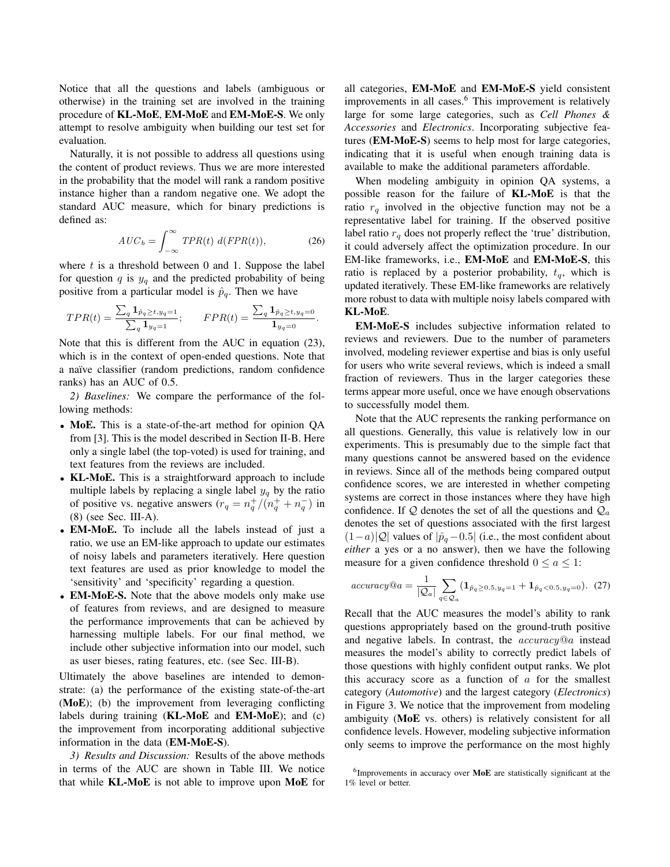Notice that all the questions and labels (ambiguous or otherwise) in the training set are involved in the training procedure of KL-MoE, EM-MoE and EM-MoE-S. We only attempt to resolve ambiguity when building our test set for evaluation.

Naturally, it is not possible to address all questions using the content of product reviews. Thus we are more interested in the probability that the model will rank a random positive instance higher than a random negative one. We adopt the standard AUC measure, which for binary predictions is defined as:

$$
AUC_b = \int_{-\infty}^{\infty} TPR(t) \ d(FPR(t)), \qquad (26)
$$

where  $t$  is a threshold between 0 and 1. Suppose the label for question  $q$  is  $y_q$  and the predicted probability of being positive from a particular model is  $\hat{p}_q$ . Then we have

$$
TPR(t) = \frac{\sum_{q} \mathbf{1}_{\hat{p}_q \ge t, y_q = 1}}{\sum_{q} \mathbf{1}_{y_q = 1}}; \qquad FPR(t) = \frac{\sum_{q} \mathbf{1}_{\hat{p}_q \ge t, y_q = 0}}{\mathbf{1}_{y_q = 0}}.
$$

Note that this is different from the AUC in equation (23), which is in the context of open-ended questions. Note that a naïve classifier (random predictions, random confidence ranks) has an AUC of 0.5.

*2) Baselines:* We compare the performance of the following methods:

- MoE. This is a state-of-the-art method for opinion QA from [3]. This is the model described in Section II-B. Here only a single label (the top-voted) is used for training, and text features from the reviews are included.
- KL-MoE. This is a straightforward approach to include multiple labels by replacing a single label  $y_q$  by the ratio of positive vs. negative answers  $(r_q = n_q^+/(n_q^+ + n_q^-))$  in (8) (see Sec. III-A).
- EM-MoE. To include all the labels instead of just a ratio, we use an EM-like approach to update our estimates of noisy labels and parameters iteratively. Here question text features are used as prior knowledge to model the 'sensitivity' and 'specificity' regarding a question.
- EM-MoE-S. Note that the above models only make use of features from reviews, and are designed to measure the performance improvements that can be achieved by harnessing multiple labels. For our final method, we include other subjective information into our model, such as user bieses, rating features, etc. (see Sec. III-B).

Ultimately the above baselines are intended to demonstrate: (a) the performance of the existing state-of-the-art (MoE); (b) the improvement from leveraging conflicting labels during training (KL-MoE and EM-MoE); and (c) the improvement from incorporating additional subjective information in the data (EM-MoE-S).

*3) Results and Discussion:* Results of the above methods in terms of the AUC are shown in Table III. We notice that while KL-MoE is not able to improve upon MoE for all categories, EM-MoE and EM-MoE-S yield consistent improvements in all cases.<sup>6</sup> This improvement is relatively large for some large categories, such as *Cell Phones & Accessories* and *Electronics*. Incorporating subjective features (EM-MoE-S) seems to help most for large categories, indicating that it is useful when enough training data is available to make the additional parameters affordable.

When modeling ambiguity in opinion QA systems, a possible reason for the failure of KL-MoE is that the ratio  $r_q$  involved in the objective function may not be a representative label for training. If the observed positive label ratio  $r_q$  does not properly reflect the 'true' distribution, it could adversely affect the optimization procedure. In our EM-like frameworks, i.e., EM-MoE and EM-MoE-S, this ratio is replaced by a posterior probability,  $t<sub>a</sub>$ , which is updated iteratively. These EM-like frameworks are relatively more robust to data with multiple noisy labels compared with KL-MoE.

EM-MoE-S includes subjective information related to reviews and reviewers. Due to the number of parameters involved, modeling reviewer expertise and bias is only useful for users who write several reviews, which is indeed a small fraction of reviewers. Thus in the larger categories these terms appear more useful, once we have enough observations to successfully model them.

Note that the AUC represents the ranking performance on all questions. Generally, this value is relatively low in our experiments. This is presumably due to the simple fact that many questions cannot be answered based on the evidence in reviews. Since all of the methods being compared output confidence scores, we are interested in whether competing systems are correct in those instances where they have high confidence. If Q denotes the set of all the questions and  $\mathcal{Q}_a$ denotes the set of questions associated with the first largest  $(1-a)|\mathcal{Q}|$  values of  $|\hat{p}_q - 0.5|$  (i.e., the most confident about *either* a yes or a no answer), then we have the following measure for a given confidence threshold  $0 \le a \le 1$ :

$$
accuracy@a = \frac{1}{|Q_a|} \sum_{q \in Q_a} (\mathbf{1}_{\hat{p}_q \ge 0.5, y_q = 1} + \mathbf{1}_{\hat{p}_q < 0.5, y_q = 0}). \tag{27}
$$

Recall that the AUC measures the model's ability to rank questions appropriately based on the ground-truth positive and negative labels. In contrast, the  $accuracy@a$  instead measures the model's ability to correctly predict labels of those questions with highly confident output ranks. We plot this accuracy score as a function of  $a$  for the smallest category (*Automotive*) and the largest category (*Electronics*) in Figure 3. We notice that the improvement from modeling ambiguity (MoE vs. others) is relatively consistent for all confidence levels. However, modeling subjective information only seems to improve the performance on the most highly

 $6$ Improvements in accuracy over MoE are statistically significant at the 1% level or better.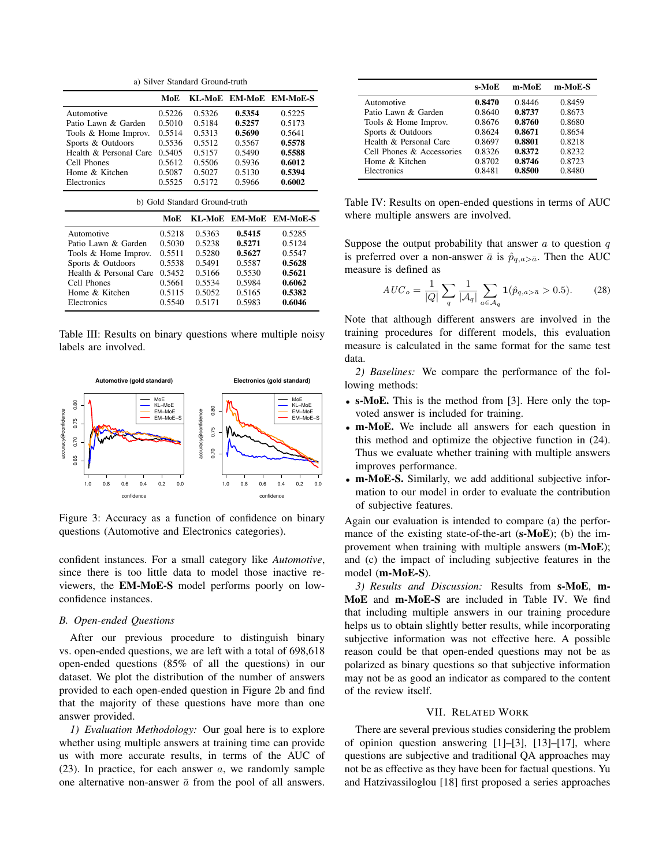MoE KL-MoE EM-MoE EM-MoE-S Automotive 0.5226 0.5326 0.5354 0.5225 Patio Lawn & Garden 0.5010 0.5184 0.5257 0.5173<br>Tools & Home Improv. 0.5514 0.5313 0.5690 0.5641 Tools & Home Improv. 0.5514 0.5313 0.5690 0.5641<br>Sports & Outdoors 0.5536 0.5512 0.5567 0.5578 Sports & Outdoors 0.5536 0.5512 0.5567 Health & Personal Care 0.5405 0.5157 0.5490 0.5588<br>Cell Phones 0.5612 0.5506 0.5936 0.6012 Cell Phones 0.5612 0.5506 0.5936 0.6012<br>Home & Kitchen 0.5087 0.5027 0.5130 0.5394 Home & Kitchen  $0.5087$   $0.5027$   $0.5130$   $0.5394$ <br>Electronics  $0.5525$   $0.5172$   $0.5966$   $0.6002$ Electronics b) Gold Standard Ground-truth MoE KL-MoE EM-MoE EM-MoE-S Automotive 0.5218 0.5363 0.5415 0.5285<br>Patio Lawn & Garden 0.5030 0.5238 0.5271 0.5124 Patio Lawn & Garden 0.5030 0.5238 0.5271 0.5124<br>Tools & Home Improv. 0.5511 0.5280 0.5627 0.5547 Tools & Home Improv. 0.5511 0.5280 0.5627 0.5547<br>Sports & Outdoors 0.5538 0.5491 0.5587 0.5628 Sports & Outdoors 0.5538 0.5491 0.5587 0.5628<br>Health & Personal Care 0.5452 0.5166 0.5530 0.5621 Health & Personal Care 0.5452 0.5166 0.5530 0.5621<br>Cell Phones 0.5661 0.5534 0.5984 0.6062 Cell Phones 0.5661 0.5534 0.5984 0.6062<br>Home & Kitchen 0.5115 0.5052 0.5165 0.5382 Home & Kitchen 0.5115 0.5052 0.5165 Electronics 0.5540 0.5171 0.5983 0.6046

a) Silver Standard Ground-truth

Table III: Results on binary questions where multiple noisy labels are involved.



Figure 3: Accuracy as a function of confidence on binary questions (Automotive and Electronics categories).

confident instances. For a small category like *Automotive*, since there is too little data to model those inactive reviewers, the EM-MoE-S model performs poorly on lowconfidence instances.

# *B. Open-ended Questions*

After our previous procedure to distinguish binary vs. open-ended questions, we are left with a total of 698,618 open-ended questions (85% of all the questions) in our dataset. We plot the distribution of the number of answers provided to each open-ended question in Figure 2b and find that the majority of these questions have more than one answer provided.

*1) Evaluation Methodology:* Our goal here is to explore whether using multiple answers at training time can provide us with more accurate results, in terms of the AUC of (23). In practice, for each answer  $a$ , we randomly sample one alternative non-answer  $\bar{a}$  from the pool of all answers.

|                           | s-MoE  | m-MoE  | m-MoE-S |
|---------------------------|--------|--------|---------|
| Automotive                | 0.8470 | 0.8446 | 0.8459  |
| Patio Lawn & Garden       | 0.8640 | 0.8737 | 0.8673  |
| Tools & Home Improv.      | 0.8676 | 0.8760 | 0.8680  |
| Sports & Outdoors         | 0.8624 | 0.8671 | 0.8654  |
| Health & Personal Care    | 0.8697 | 0.8801 | 0.8218  |
| Cell Phones & Accessories | 0.8326 | 0.8372 | 0.8232  |
| Home & Kitchen            | 0.8702 | 0.8746 | 0.8723  |
| Electronics               | 0.8481 | 0.8500 | 0.8480  |

Table IV: Results on open-ended questions in terms of AUC where multiple answers are involved.

Suppose the output probability that answer  $\alpha$  to question  $q$ is preferred over a non-answer  $\bar{a}$  is  $\hat{p}_{q,a>\bar{a}}$ . Then the AUC measure is defined as

$$
AUC_o = \frac{1}{|Q|} \sum_{q} \frac{1}{|\mathcal{A}_q|} \sum_{a \in \mathcal{A}_q} \mathbf{1}(\hat{p}_{q, a > \bar{a}} > 0.5). \tag{28}
$$

Note that although different answers are involved in the training procedures for different models, this evaluation measure is calculated in the same format for the same test data.

*2) Baselines:* We compare the performance of the following methods:

- s-MoE. This is the method from [3]. Here only the topvoted answer is included for training.
- m-MoE. We include all answers for each question in this method and optimize the objective function in (24). Thus we evaluate whether training with multiple answers improves performance.
- **m-MoE-S.** Similarly, we add additional subjective information to our model in order to evaluate the contribution of subjective features.

Again our evaluation is intended to compare (a) the performance of the existing state-of-the-art (s-MoE); (b) the improvement when training with multiple answers (m-MoE); and (c) the impact of including subjective features in the model (m-MoE-S).

*3) Results and Discussion:* Results from s-MoE, m-MoE and m-MoE-S are included in Table IV. We find that including multiple answers in our training procedure helps us to obtain slightly better results, while incorporating subjective information was not effective here. A possible reason could be that open-ended questions may not be as polarized as binary questions so that subjective information may not be as good an indicator as compared to the content of the review itself.

# VII. RELATED WORK

There are several previous studies considering the problem of opinion question answering [1]–[3], [13]–[17], where questions are subjective and traditional QA approaches may not be as effective as they have been for factual questions. Yu and Hatzivassiloglou [18] first proposed a series approaches